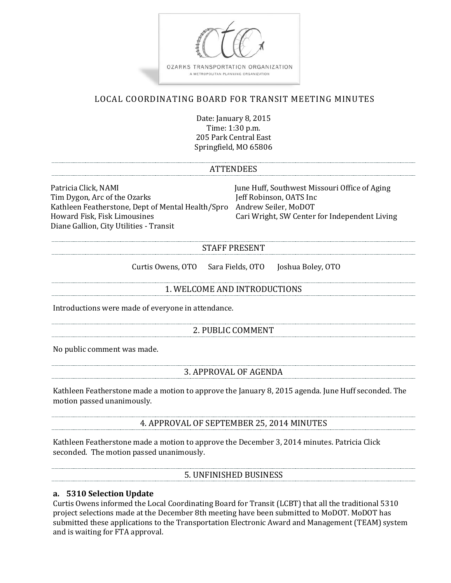

# LOCAL COORDINATING BOARD FOR TRANSIT MEETING MINUTES

Date: January 8, 2015 Time: 1:30 p.m. 205 Park Central East Springfield, MO 65806

#### ATTENDEES

Patricia Click, NAMI June Huff, Southwest Missouri Office of Aging Tim Dygon, Arc of the Ozarks Kathleen Featherstone, Dept of Mental Health/Spro Andrew Seiler, MoDOT Diane Gallion, City Utilities - Transit

Cari Wright, SW Center for Independent Living

#### STAFF PRESENT

Curtis Owens, OTO Sara Fields, OTO Joshua Boley, OTO

#### 1. WELCOME AND INTRODUCTIONS

Introductions were made of everyone in attendance.

#### 2. PUBLIC COMMENT

No public comment was made.

#### 3. APPROVAL OF AGENDA

Kathleen Featherstone made a motion to approve the January 8, 2015 agenda. June Huff seconded. The motion passed unanimously.

4. APPROVAL OF SEPTEMBER 25, 2014 MINUTES

Kathleen Featherstone made a motion to approve the December 3, 2014 minutes. Patricia Click seconded. The motion passed unanimously.

5. UNFINISHED BUSINESS

#### **a. 5310 Selection Update**

Curtis Owens informed the Local Coordinating Board for Transit (LCBT) that all the traditional 5310 project selections made at the December 8th meeting have been submitted to MoDOT. MoDOT has submitted these applications to the Transportation Electronic Award and Management (TEAM) system and is waiting for FTA approval.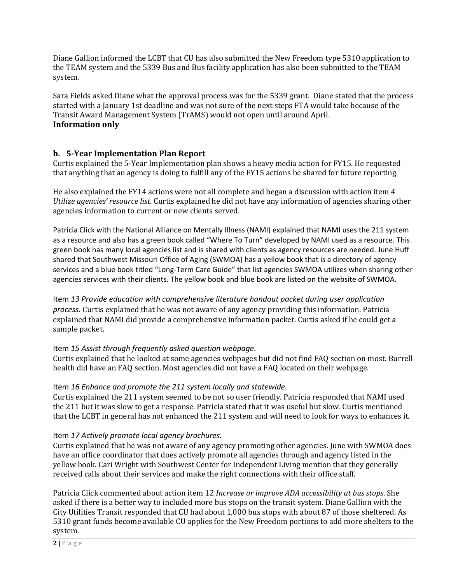Diane Gallion informed the LCBT that CU has also submitted the New Freedom type 5310 application to the TEAM system and the 5339 Bus and Bus facility application has also been submitted to the TEAM system.

Sara Fields asked Diane what the approval process was for the 5339 grant. Diane stated that the process started with a January 1st deadline and was not sure of the next steps FTA would take because of the Transit Award Management System (TrAMS) would not open until around April. **Information only**

# **b. 5-Year Implementation Plan Report**

Curtis explained the 5-Year Implementation plan shows a heavy media action for FY15. He requested that anything that an agency is doing to fulfill any of the FY15 actions be shared for future reporting.

He also explained the FY14 actions were not all complete and began a discussion with action item *4 Utilize agencies' resource list*. Curtis explained he did not have any information of agencies sharing other agencies information to current or new clients served.

Patricia Click with the National Alliance on Mentally Illness (NAMI) explained that NAMI uses the 211 system as a resource and also has a green book called "Where To Turn" developed by NAMI used as a resource. This green book has many local agencies list and is shared with clients as agency resources are needed. June Huff shared that Southwest Missouri Office of Aging (SWMOA) has a yellow book that is a directory of agency services and a blue book titled "Long-Term Care Guide" that list agencies SWMOA utilizes when sharing other agencies services with their clients. The yellow book and blue book are listed on the website of SWMOA.

Item *13 Provide education with comprehensive literature handout packet during user application process.* Curtis explained that he was not aware of any agency providing this information. Patricia explained that NAMI did provide a comprehensive information packet. Curtis asked if he could get a sample packet.

# Item *15 Assist through frequently asked question webpage.*

Curtis explained that he looked at some agencies webpages but did not find FAQ section on most. Burrell health did have an FAQ section. Most agencies did not have a FAQ located on their webpage.

# Item *16 Enhance and promote the 211 system locally and statewide.*

Curtis explained the 211 system seemed to be not so user friendly. Patricia responded that NAMI used the 211 but it was slow to get a response. Patricia stated that it was useful but slow. Curtis mentioned that the LCBT in general has not enhanced the 211 system and will need to look for ways to enhances it.

# Item *17 Actively promote local agency brochures.*

Curtis explained that he was not aware of any agency promoting other agencies. June with SWMOA does have an office coordinator that does actively promote all agencies through and agency listed in the yellow book. Cari Wright with Southwest Center for Independent Living mention that they generally received calls about their services and make the right connections with their office staff.

Patricia Click commented about action item 12 *Increase or improve ADA accessibility at bus stops*. She asked if there is a better way to included more bus stops on the transit system. Diane Gallion with the City Utilities Transit responded that CU had about 1,000 bus stops with about 87 of those sheltered. As 5310 grant funds become available CU applies for the New Freedom portions to add more shelters to the system.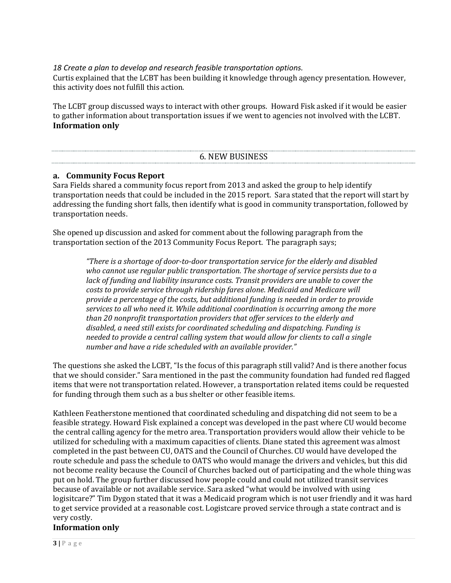*18 Create a plan to develop and research feasible transportation options.*

Curtis explained that the LCBT has been building it knowledge through agency presentation. However, this activity does not fulfill this action.

The LCBT group discussed ways to interact with other groups. Howard Fisk asked if it would be easier to gather information about transportation issues if we went to agencies not involved with the LCBT. **Information only**

| ᄭᄆᅂ<br><b>RHSH</b><br><b>NFW</b><br>∽<br><b>טטעווויטטע</b><br>1 1 1 1 V V |  |
|---------------------------------------------------------------------------|--|
|                                                                           |  |

#### **a. Community Focus Report**

Sara Fields shared a community focus report from 2013 and asked the group to help identify transportation needs that could be included in the 2015 report. Sara stated that the report will start by addressing the funding short falls, then identify what is good in community transportation, followed by transportation needs.

She opened up discussion and asked for comment about the following paragraph from the transportation section of the 2013 Community Focus Report. The paragraph says;

> *"There is a shortage of door-to-door transportation service for the elderly and disabled who cannot use regular public transportation. The shortage of service persists due to a lack of funding and liability insurance costs. Transit providers are unable to cover the costs to provide service through ridership fares alone. Medicaid and Medicare will provide a percentage of the costs, but additional funding is needed in order to provide services to all who need it. While additional coordination is occurring among the more than 20 nonprofit transportation providers that offer services to the elderly and disabled, a need still exists for coordinated scheduling and dispatching. Funding is needed to provide a central calling system that would allow for clients to call a single number and have a ride scheduled with an available provider."*

The questions she asked the LCBT, "Is the focus of this paragraph still valid? And is there another focus that we should consider." Sara mentioned in the past the community foundation had funded red flagged items that were not transportation related. However, a transportation related items could be requested for funding through them such as a bus shelter or other feasible items.

Kathleen Featherstone mentioned that coordinated scheduling and dispatching did not seem to be a feasible strategy. Howard Fisk explained a concept was developed in the past where CU would become the central calling agency for the metro area. Transportation providers would allow their vehicle to be utilized for scheduling with a maximum capacities of clients. Diane stated this agreement was almost completed in the past between CU, OATS and the Council of Churches. CU would have developed the route schedule and pass the schedule to OATS who would manage the drivers and vehicles, but this did not become reality because the Council of Churches backed out of participating and the whole thing was put on hold. The group further discussed how people could and could not utilized transit services because of available or not available service. Sara asked "what would be involved with using logisitcare?" Tim Dygon stated that it was a Medicaid program which is not user friendly and it was hard to get service provided at a reasonable cost. Logistcare proved service through a state contract and is very costly.

# **Information only**